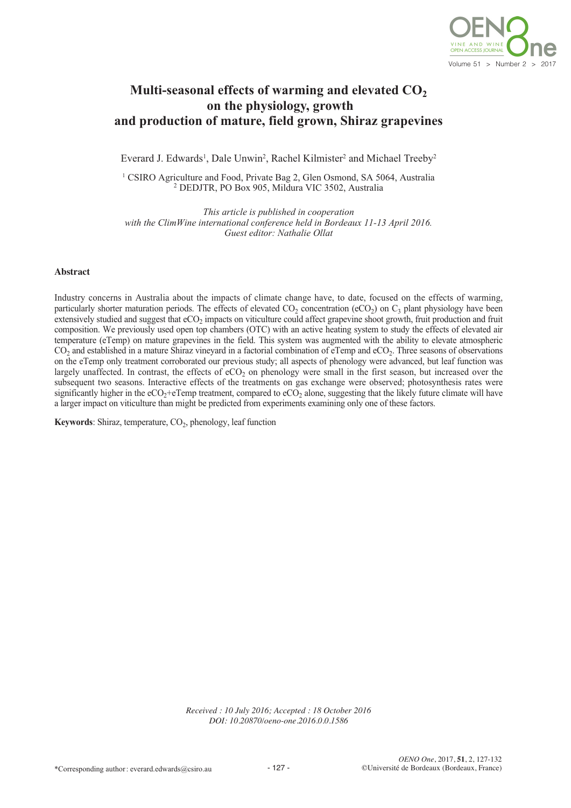

# **Multi-seasonal effects of warming and elevated**  $CO<sub>2</sub>$ **on the physiology, growth and production of mature, field grown, Shiraz grapevines**

Everard J. Edwards<sup>1</sup>, Dale Unwin<sup>2</sup>, Rachel Kilmister<sup>2</sup> and Michael Treeby<sup>2</sup>

<sup>1</sup> CSIRO Agriculture and Food, Private Bag 2, Glen Osmond, SA 5064, Australia <sup>2</sup> DEDJTR, PO Box 905, Mildura VIC 3502, Australia

*This article is published in cooperation with the ClimWine international conference held in Bordeaux 11-13 April 2016. Guest editor: Nathalie Ollat*

#### **Abstract**

Industry concerns in Australia about the impacts of climate change have, to date, focused on the effects of warming, particularly shorter maturation periods. The effects of elevated  $CO_2$  concentration (eCO<sub>2</sub>) on  $C_3$  plant physiology have been extensively studied and suggest that  $eCO<sub>2</sub>$  impacts on viticulture could affect grapevine shoot growth, fruit production and fruit composition. We previously used open top chambers (OTC) with an active heating system to study the effects of elevated air temperature (eTemp) on mature grapevines in the field. This system was augmented with the ability to elevate atmospheric  $CO<sub>2</sub>$  and established in a mature Shiraz vineyard in a factorial combination of eTemp and eCO<sub>2</sub>. Three seasons of observations on the eTemp only treatment corroborated our previous study; all aspects of phenology were advanced, but leaf function was largely unaffected. In contrast, the effects of  $eCO<sub>2</sub>$  on phenology were small in the first season, but increased over the subsequent two seasons. Interactive effects of the treatments on gas exchange were observed; photosynthesis rates were significantly higher in the eCO<sub>2</sub>+eTemp treatment, compared to eCO<sub>2</sub> alone, suggesting that the likely future climate will have a larger impact on viticulture than might be predicted from experiments examining only one of these factors.

**Keywords**: Shiraz, temperature, CO<sub>2</sub>, phenology, leaf function

*Received : 10 July 2016; Accepted : 18 October 2016 DOI: 10.20870/oeno-one.2016.0.0.1586*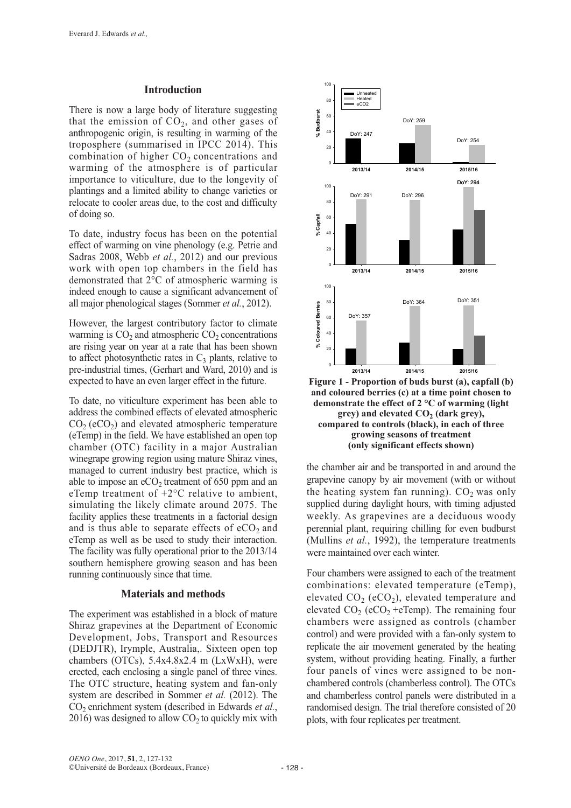# **Introduction**

There is now a large body of literature suggesting that the emission of  $CO<sub>2</sub>$ , and other gases of anthropogenic origin, is resulting in warming of the troposphere (summarised in IPCC 2014). This combination of higher  $CO<sub>2</sub>$  concentrations and warming of the atmosphere is of particular importance to viticulture, due to the longevity of plantings and a limited ability to change varieties or relocate to cooler areas due, to the cost and difficulty of doing so.

To date, industry focus has been on the potential effect of warming on vine phenology (e.g. Petrie and Sadras 2008, Webb *et al.*, 2012) and our previous work with open top chambers in the field has demonstrated that 2°C of atmospheric warming is indeed enough to cause a significant advancement of all major phenological stages (Sommer *et al.*, 2012).

However, the largest contributory factor to climate warming is  $CO<sub>2</sub>$  and atmospheric  $CO<sub>2</sub>$  concentrations are rising year on year at a rate that has been shown to affect photosynthetic rates in  $C_3$  plants, relative to pre-industrial times, (Gerhart and Ward, 2010) and is expected to have an even larger effect in the future.

To date, no viticulture experiment has been able to address the combined effects of elevated atmospheric  $CO<sub>2</sub> (eCO<sub>2</sub>)$  and elevated atmospheric temperature (eTemp) in the field. We have established an open top chamber (OTC) facility in a major Australian winegrape growing region using mature Shiraz vines, managed to current industry best practice, which is able to impose an  $eCO<sub>2</sub>$  treatment of 650 ppm and an eTemp treatment of +2°C relative to ambient, simulating the likely climate around 2075. The facility applies these treatments in a factorial design and is thus able to separate effects of  $eCO<sub>2</sub>$  and eTemp as well as be used to study their interaction. The facility was fully operational prior to the 2013/14 southern hemisphere growing season and has been running continuously since that time.

# **Materials and methods**

The experiment was established in a block of mature Shiraz grapevines at the Department of Economic Development, Jobs, Transport and Resources (DEDJTR), Irymple, Australia,. Sixteen open top chambers (OTCs), 5.4x4.8x2.4 m (LxWxH), were erected, each enclosing a single panel of three vines. The OTC structure, heating system and fan-only system are described in Sommer *et al.* (2012). The CO<sub>2</sub> enrichment system (described in Edwards *et al.*, 2016) was designed to allow  $CO<sub>2</sub>$  to quickly mix with



**Figure 1 - Proportion of buds burst (a), capfall (b) and coloured berries (c) at a time point chosen to demonstrate the effect of 2 °C of warming (light grey) and elevated CO2 (dark grey), compared to controls (black), in each of three growing seasons of treatment (only significant effects shown)**

the chamber air and be transported in and around the grapevine canopy by air movement (with or without the heating system fan running).  $CO<sub>2</sub>$  was only supplied during daylight hours, with timing adjusted weekly. As grapevines are a deciduous woody perennial plant, requiring chilling for even budburst (Mullins *et al.*, 1992), the temperature treatments were maintained over each winter.

Four chambers were assigned to each of the treatment combinations: elevated temperature (eTemp), elevated  $CO_2$  (eCO<sub>2</sub>), elevated temperature and elevated  $CO_2$  (eCO<sub>2</sub> +eTemp). The remaining four chambers were assigned as controls (chamber control) and were provided with a fan-only system to replicate the air movement generated by the heating system, without providing heating. Finally, a further four panels of vines were assigned to be nonchambered controls (chamberless control). The OTCs and chamberless control panels were distributed in a randomised design. The trial therefore consisted of 20 plots, with four replicates per treatment.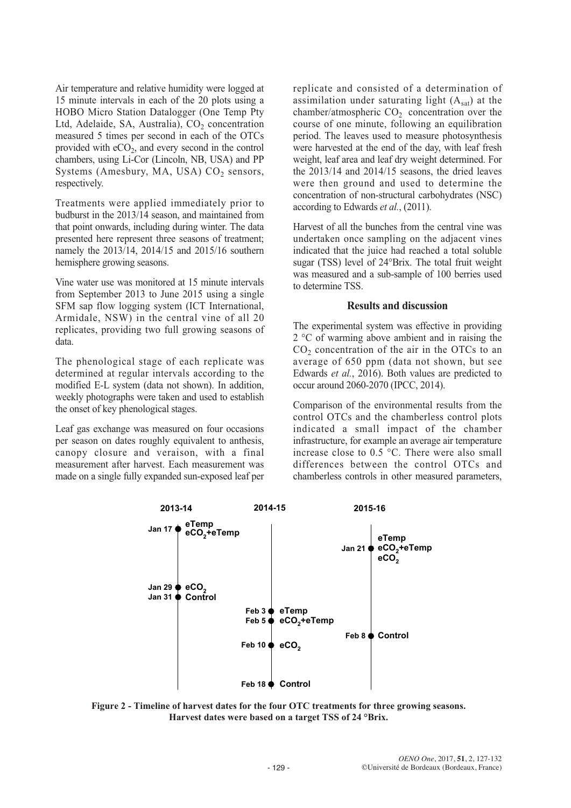Air temperature and relative humidity were logged at 15 minute intervals in each of the 20 plots using a HOBO Micro Station Datalogger (One Temp Pty Ltd, Adelaide, SA, Australia),  $CO<sub>2</sub>$  concentration measured 5 times per second in each of the OTCs provided with  $eCO<sub>2</sub>$ , and every second in the control chambers, using Li-Cor (Lincoln, NB, USA) and PP Systems (Amesbury, MA, USA)  $CO<sub>2</sub>$  sensors, respectively.

Treatments were applied immediately prior to budburst in the 2013/14 season, and maintained from that point onwards, including during winter. The data presented here represent three seasons of treatment; namely the 2013/14, 2014/15 and 2015/16 southern hemisphere growing seasons.

Vine water use was monitored at 15 minute intervals from September 2013 to June 2015 using a single SFM sap flow logging system (ICT International, Armidale, NSW) in the central vine of all 20 replicates, providing two full growing seasons of data.

The phenological stage of each replicate was determined at regular intervals according to the modified E-L system (data not shown). In addition, weekly photographs were taken and used to establish the onset of key phenological stages.

Leaf gas exchange was measured on four occasions per season on dates roughly equivalent to anthesis, canopy closure and veraison, with a final measurement after harvest. Each measurement was made on a single fully expanded sun-exposed leaf per replicate and consisted of a determination of assimilation under saturating light  $(A<sub>sat</sub>)$  at the chamber/atmospheric  $CO<sub>2</sub>$  concentration over the course of one minute, following an equilibration period. The leaves used to measure photosynthesis were harvested at the end of the day, with leaf fresh weight, leaf area and leaf dry weight determined. For the 2013/14 and 2014/15 seasons, the dried leaves were then ground and used to determine the concentration of non-structural carbohydrates (NSC) according to Edwards *et al.*, (2011).

Harvest of all the bunches from the central vine was undertaken once sampling on the adjacent vines indicated that the juice had reached a total soluble sugar (TSS) level of 24°Brix. The total fruit weight was measured and a sub-sample of 100 berries used to determine TSS.

# **Results and discussion**

The experimental system was effective in providing 2 °C of warming above ambient and in raising the  $CO<sub>2</sub>$  concentration of the air in the OTCs to an average of 650 ppm (data not shown, but see Edwards *et al.*, 2016). Both values are predicted to occur around 2060-2070 (IPCC, 2014).

Comparison of the environmental results from the control OTCs and the chamberless control plots indicated a small impact of the chamber infrastructure, for example an average air temperature increase close to 0.5 °C. There were also small differences between the control OTCs and chamberless controls in other measured parameters,



**Figure 2 - Timeline of harvest dates for the four OTC treatments for three growing seasons. Harvest dates were based on a target TSS of 24 °Brix.**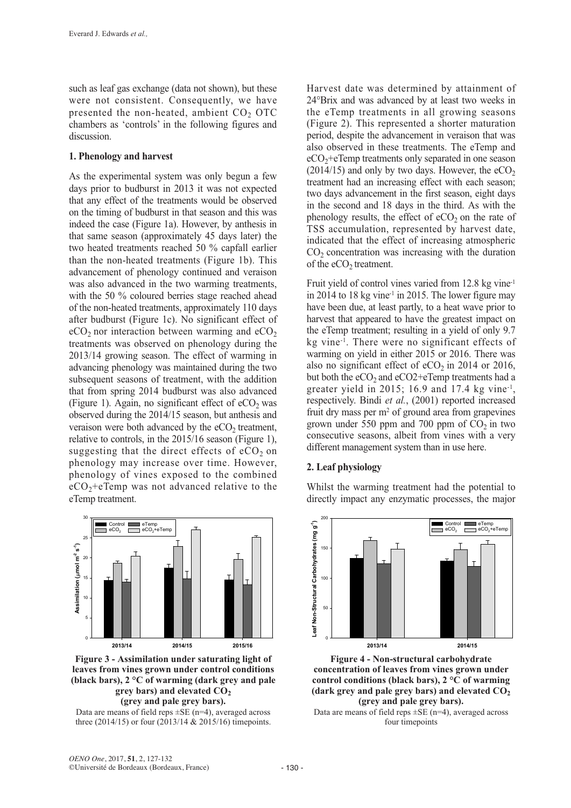such as leaf gas exchange (data not shown), but these were not consistent. Consequently, we have presented the non-heated, ambient  $CO<sub>2</sub> OTC$ chambers as 'controls' in the following figures and discussion.

#### **1. Phenology and harvest**

As the experimental system was only begun a few days prior to budburst in 2013 it was not expected that any effect of the treatments would be observed on the timing of budburst in that season and this was indeed the case (Figure 1a). However, by anthesis in that same season (approximately 45 days later) the two heated treatments reached 50 % capfall earlier than the non-heated treatments (Figure 1b). This advancement of phenology continued and veraison was also advanced in the two warming treatments, with the 50 % coloured berries stage reached ahead of the non-heated treatments, approximately 110 days after budburst (Figure 1c). No significant effect of  $eCO<sub>2</sub>$  nor interaction between warming and  $eCO<sub>2</sub>$ treatments was observed on phenology during the 2013/14 growing season. The effect of warming in advancing phenology was maintained during the two subsequent seasons of treatment, with the addition that from spring 2014 budburst was also advanced (Figure 1). Again, no significant effect of  $eCO<sub>2</sub>$  was observed during the 2014/15 season, but anthesis and veraison were both advanced by the  $eCO<sub>2</sub>$  treatment, relative to controls, in the 2015/16 season (Figure 1), suggesting that the direct effects of  $eCO<sub>2</sub>$  on phenology may increase over time. However, phenology of vines exposed to the combined  $eCO<sub>2</sub>+eTemp$  was not advanced relative to the eTemp treatment.



**Figure 3 - Assimilation under saturating light of leaves from vines grown under control conditions (black bars), 2 °C of warming (dark grey and pale grey bars**) **and elevated**  $CO<sub>2</sub>$ **(grey and pale grey bars).**

Data are means of field reps  $\pm$ SE (n=4), averaged across three (2014/15) or four (2013/14 & 2015/16) timepoints.

Harvest date was determined by attainment of 24°Brix and was advanced by at least two weeks in the eTemp treatments in all growing seasons (Figure 2). This represented a shorter maturation period, despite the advancement in veraison that was also observed in these treatments. The eTemp and  $eCO<sub>2</sub> + eTemp$  treatments only separated in one season (2014/15) and only by two days. However, the  $eCO<sub>2</sub>$ treatment had an increasing effect with each season; two days advancement in the first season, eight days in the second and 18 days in the third. As with the phenology results, the effect of  $eCO<sub>2</sub>$  on the rate of TSS accumulation, represented by harvest date, indicated that the effect of increasing atmospheric  $CO<sub>2</sub>$  concentration was increasing with the duration of the  $eCO<sub>2</sub>$  treatment.

Fruit yield of control vines varied from 12.8 kg vine-1 in 2014 to 18 kg vine<sup>-1</sup> in 2015. The lower figure may have been due, at least partly, to a heat wave prior to harvest that appeared to have the greatest impact on the eTemp treatment; resulting in a yield of only 9.7 kg vine-1. There were no significant effects of warming on yield in either 2015 or 2016. There was also no significant effect of  $eCO<sub>2</sub>$  in 2014 or 2016, but both the eCO<sub>2</sub> and eCO<sub>2</sub>+eTemp treatments had a greater yield in 2015; 16.9 and 17.4 kg vine-1, respectively. Bindi *et al.*, (2001) reported increased fruit dry mass per  $m<sup>2</sup>$  of ground area from grapevines grown under 550 ppm and 700 ppm of  $CO<sub>2</sub>$  in two consecutive seasons, albeit from vines with a very different management system than in use here.

# **2. Leaf physiology**

Whilst the warming treatment had the potential to directly impact any enzymatic processes, the major



**Figure 4 - Non-structural carbohydrate concentration of leaves from vines grown under control conditions (black bars), 2 °C of warming (dark grey and pale grey bars) and elevated CO2 (grey and pale grey bars).**

Data are means of field reps  $\pm$ SE (n=4), averaged across four timepoints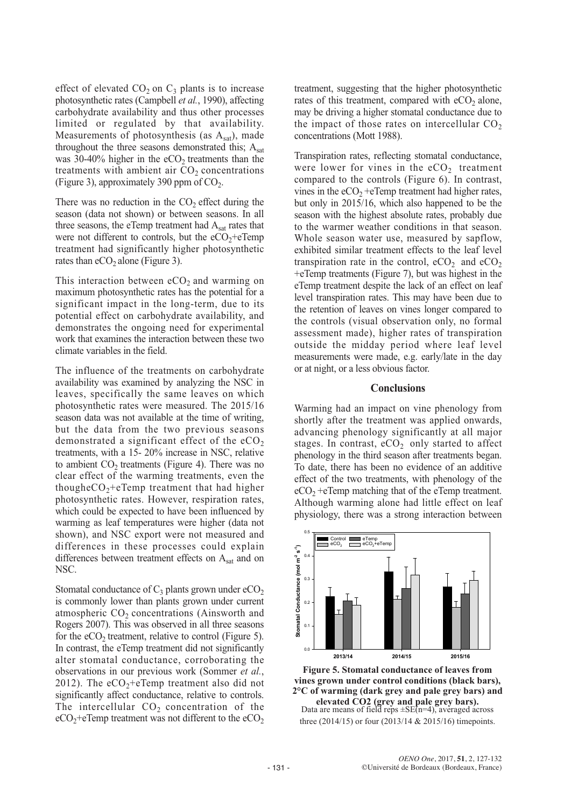effect of elevated  $CO<sub>2</sub>$  on  $C<sub>3</sub>$  plants is to increase photosynthetic rates (Campbell *et al.*, 1990), affecting carbohydrate availability and thus other processes limited or regulated by that availability. Measurements of photosynthesis (as  $A<sub>sat</sub>$ ), made throughout the three seasons demonstrated this;  $A_{sat}$ was 30-40% higher in the  $eCO<sub>2</sub>$  treatments than the treatments with ambient air  $CO<sub>2</sub>$  concentrations (Figure 3), approximately 390 ppm of  $CO<sub>2</sub>$ .

There was no reduction in the  $CO<sub>2</sub>$  effect during the season (data not shown) or between seasons. In all three seasons, the eTemp treatment had  $A_{\text{sat}}$  rates that were not different to controls, but the  $eCO<sub>2</sub>+eTemp$ treatment had significantly higher photosynthetic rates than  $eCO<sub>2</sub>$  alone (Figure 3).

This interaction between  $eCO<sub>2</sub>$  and warming on maximum photosynthetic rates has the potential for a significant impact in the long-term, due to its potential effect on carbohydrate availability, and demonstrates the ongoing need for experimental work that examines the interaction between these two climate variables in the field.

The influence of the treatments on carbohydrate availability was examined by analyzing the NSC in leaves, specifically the same leaves on which photosynthetic rates were measured. The 2015/16 season data was not available at the time of writing, but the data from the two previous seasons demonstrated a significant effect of the  $eCO<sub>2</sub>$ treatments, with a 15- 20% increase in NSC, relative to ambient  $CO<sub>2</sub>$  treatments (Figure 4). There was no clear effect of the warming treatments, even the thoughe $CO_2$ +eTemp treatment that had higher photosynthetic rates. However, respiration rates, which could be expected to have been influenced by warming as leaf temperatures were higher (data not shown), and NSC export were not measured and differences in these processes could explain differences between treatment effects on A<sub>sat</sub> and on NSC.

Stomatal conductance of  $C_3$  plants grown under  $eCO_2$ is commonly lower than plants grown under current atmospheric  $CO<sub>2</sub>$  concentrations (Ainsworth and Rogers 2007). This was observed in all three seasons for the  $eCO<sub>2</sub>$  treatment, relative to control (Figure 5). In contrast, the eTemp treatment did not significantly alter stomatal conductance, corroborating the observations in our previous work (Sommer *et al.*, 2012). The  $eCO<sub>2</sub> + eTemp$  treatment also did not significantly affect conductance, relative to controls. The intercellular  $CO<sub>2</sub>$  concentration of the  $eCO<sub>2</sub>+eTemp$  treatment was not different to the  $eCO<sub>2</sub>$ 

treatment, suggesting that the higher photosynthetic rates of this treatment, compared with  $eCO<sub>2</sub>$  alone, may be driving a higher stomatal conductance due to the impact of those rates on intercellular  $CO<sub>2</sub>$ concentrations (Mott 1988).

Transpiration rates, reflecting stomatal conductance, were lower for vines in the  $eCO<sub>2</sub>$  treatment compared to the controls (Figure 6). In contrast, vines in the  $eCO<sub>2</sub> +eTemp$  treatment had higher rates, but only in 2015/16, which also happened to be the season with the highest absolute rates, probably due to the warmer weather conditions in that season. Whole season water use, measured by sapflow, exhibited similar treatment effects to the leaf level transpiration rate in the control,  $eCO_2$  and  $eCO_2$ +eTemp treatments (Figure 7), but was highest in the eTemp treatment despite the lack of an effect on leaf level transpiration rates. This may have been due to the retention of leaves on vines longer compared to the controls (visual observation only, no formal assessment made), higher rates of transpiration outside the midday period where leaf level measurements were made, e.g. early/late in the day or at night, or a less obvious factor.

#### **Conclusions**

Warming had an impact on vine phenology from shortly after the treatment was applied onwards, advancing phenology significantly at all major stages. In contrast,  $eCO<sub>2</sub>$  only started to affect phenology in the third season after treatments began. To date, there has been no evidence of an additive effect of the two treatments, with phenology of the  $eCO<sub>2</sub> +eTemp$  matching that of the eTemp treatment. Although warming alone had little effect on leaf physiology, there was a strong interaction between



**Figure 5. Stomatal conductance of leaves from vines grown under control conditions (black bars), 2°C of warming (dark grey and pale grey bars) and elevated CO2 (grey and pale grey bars).** Data are means of field reps ±SE(n=4), averaged across three (2014/15) or four (2013/14 & 2015/16) timepoints.